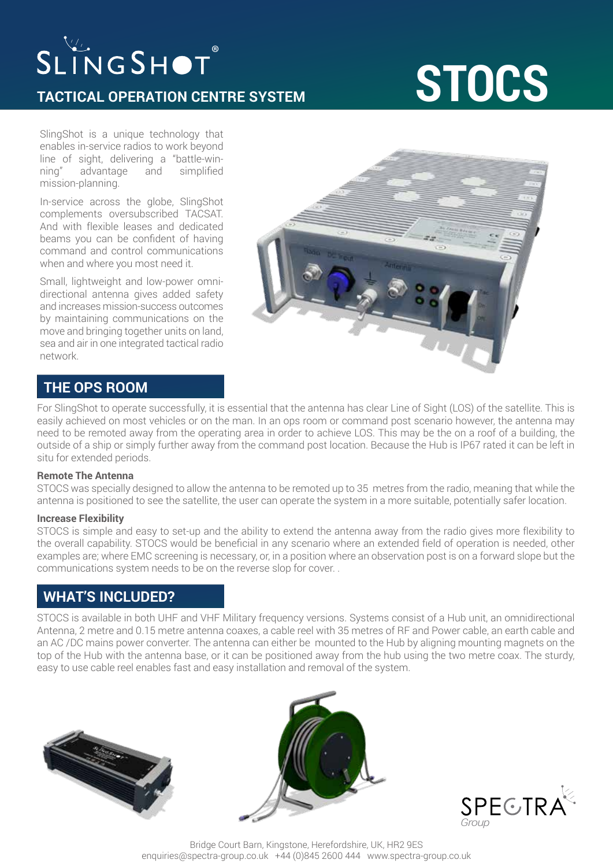## SLINGSHOT®

### **TACTICAL OPERATION CENTRE SYSTEM**

# **STOCS**

SlingShot is a unique technology that enables in-service radios to work beyond line of sight, delivering a "battle-winning" advantage and simplified mission-planning.

In-service across the globe, SlingShot complements oversubscribed TACSAT. And with flexible leases and dedicated beams you can be confident of having command and control communications when and where you most need it.

Small, lightweight and low-power omnidirectional antenna gives added safety and increases mission-success outcomes by maintaining communications on the move and bringing together units on land, sea and air in one integrated tactical radio network.



## **THE OPS ROOM**

For SlingShot to operate successfully, it is essential that the antenna has clear Line of Sight (LOS) of the satellite. This is easily achieved on most vehicles or on the man. In an ops room or command post scenario however, the antenna may need to be remoted away from the operating area in order to achieve LOS. This may be the on a roof of a building, the outside of a ship or simply further away from the command post location. Because the Hub is IP67 rated it can be left in situ for extended periods.

#### **Remote The Antenna**

STOCS was specially designed to allow the antenna to be remoted up to 35 metres from the radio, meaning that while the antenna is positioned to see the satellite, the user can operate the system in a more suitable, potentially safer location.

#### **Increase Flexibility**

STOCS is simple and easy to set-up and the ability to extend the antenna away from the radio gives more flexibility to the overall capability. STOCS would be beneficial in any scenario where an extended field of operation is needed, other examples are; where EMC screening is necessary, or, in a position where an observation post is on a forward slope but the communications system needs to be on the reverse slop for cover. .

### **WHAT'S INCLUDED?**

STOCS is available in both UHF and VHF Military frequency versions. Systems consist of a Hub unit, an omnidirectional Antenna, 2 metre and 0.15 metre antenna coaxes, a cable reel with 35 metres of RF and Power cable, an earth cable and an AC /DC mains power converter. The antenna can either be mounted to the Hub by aligning mounting magnets on the top of the Hub with the antenna base, or it can be positioned away from the hub using the two metre coax. The sturdy, easy to use cable reel enables fast and easy installation and removal of the system.







Bridge Court Barn, Kingstone, Herefordshire, UK, HR2 9ES enquiries@spectra-group.co.uk +44 (0)845 2600 444 www.spectra-group.co.uk